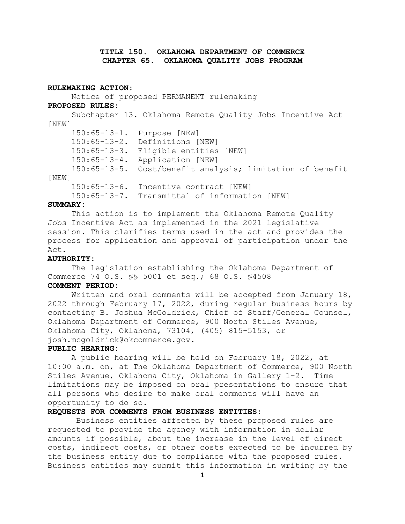# **TITLE 150. OKLAHOMA DEPARTMENT OF COMMERCE CHAPTER 65. OKLAHOMA QUALITY JOBS PROGRAM**

### **RULEMAKING ACTION:**

Notice of proposed PERMANENT rulemaking **PROPOSED RULES:** Subchapter 13. Oklahoma Remote Quality Jobs Incentive Act [NEW] 150:65-13-1. Purpose [NEW] 150:65-13-2. Definitions [NEW] 150:65-13-3. Eligible entities [NEW] 150:65-13-4. Application [NEW] 150:65-13-5. Cost/benefit analysis; limitation of benefit [NEW] 150:65-13-6. Incentive contract [NEW] 150:65-13-7. Transmittal of information [NEW]

### **SUMMARY:**

This action is to implement the Oklahoma Remote Quality Jobs Incentive Act as implemented in the 2021 legislative session. This clarifies terms used in the act and provides the process for application and approval of participation under the Act.

## **AUTHORITY:**

The legislation establishing the Oklahoma Department of Commerce 74 O.S. §§ 5001 et seq.; 68 O.S. §4508

## **COMMENT PERIOD:**

Written and oral comments will be accepted from January 18, 2022 through February 17, 2022, during regular business hours by contacting B. Joshua McGoldrick, Chief of Staff/General Counsel, Oklahoma Department of Commerce, 900 North Stiles Avenue, Oklahoma City, Oklahoma, 73104, (405) 815-5153, or josh.mcgoldrick@okcommerce.gov.

#### **PUBLIC HEARING:**

A public hearing will be held on February 18, 2022, at 10:00 a.m. on, at The Oklahoma Department of Commerce, 900 North Stiles Avenue, Oklahoma City, Oklahoma in Gallery 1-2. Time limitations may be imposed on oral presentations to ensure that all persons who desire to make oral comments will have an opportunity to do so.

## **REQUESTS FOR COMMENTS FROM BUSINESS ENTITIES:**

Business entities affected by these proposed rules are requested to provide the agency with information in dollar amounts if possible, about the increase in the level of direct costs, indirect costs, or other costs expected to be incurred by the business entity due to compliance with the proposed rules. Business entities may submit this information in writing by the